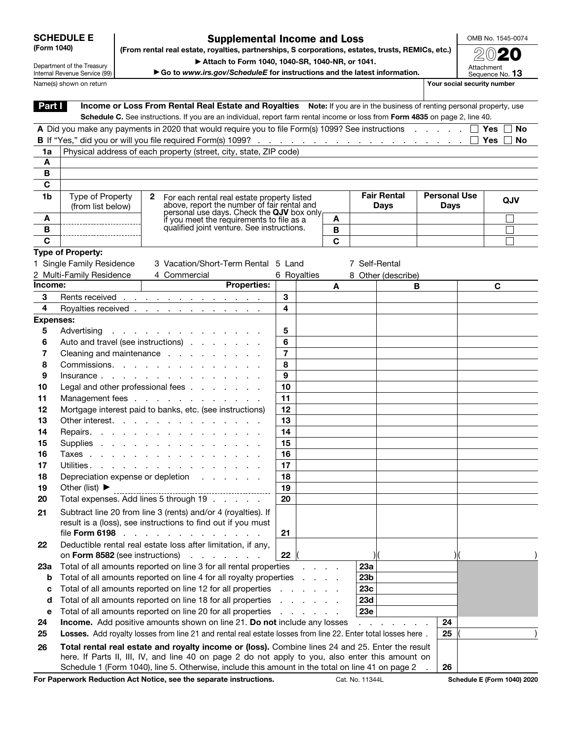| <b>SCHEDULE E</b> |  |
|-------------------|--|
| (Form 1040)       |  |

## Supplemental Income and Loss (From rental real estate, royalties, partnerships, S corporations, estates, trusts, REMICs, etc.)

OMB No. 1545-0074 2020

Department of the Treasury Internal Revenue Service (99) Name(s) shown on return **Your social security number Your social security number** 

▶ Attach to Form 1040, 1040-SR, 1040-NR, or 1041.

|  | $\blacktriangleright$ Go to www.irs.gov/ScheduleE for instructions and the latest information. |  |  |
|--|------------------------------------------------------------------------------------------------|--|--|
|  |                                                                                                |  |  |

Attachment<br>Sequence No. **13** 

| Part I           |                                                | Income or Loss From Rental Real Estate and Royalties Note: If you are in the business of renting personal property, use      |    |                |                  |                 |                                   |    |                     |                     |     |  |
|------------------|------------------------------------------------|------------------------------------------------------------------------------------------------------------------------------|----|----------------|------------------|-----------------|-----------------------------------|----|---------------------|---------------------|-----|--|
|                  |                                                | Schedule C. See instructions. If you are an individual, report farm rental income or loss from Form 4835 on page 2, line 40. |    |                |                  |                 |                                   |    |                     |                     |     |  |
|                  |                                                | A Did you make any payments in 2020 that would require you to file Form(s) 1099? See instructions $\square$                  |    |                |                  |                 |                                   |    |                     | Yes     No          |     |  |
|                  |                                                |                                                                                                                              |    |                |                  |                 |                                   |    |                     | Yes<br>$\mathbf{1}$ | No  |  |
| 1a               |                                                | Physical address of each property (street, city, state, ZIP code)                                                            |    |                |                  |                 |                                   |    |                     |                     |     |  |
| A                |                                                |                                                                                                                              |    |                |                  |                 |                                   |    |                     |                     |     |  |
| B                |                                                |                                                                                                                              |    |                |                  |                 |                                   |    |                     |                     |     |  |
| C                |                                                |                                                                                                                              |    |                |                  |                 |                                   |    | <b>Personal Use</b> |                     |     |  |
| 1b               | Type of Property<br>(from list below)          | $\mathbf{2}$<br>For each rental real estate property listed<br>above, report the number of fair rental and                   |    |                |                  |                 | <b>Fair Rental</b><br><b>Days</b> |    | <b>Days</b>         |                     | QJV |  |
|                  |                                                | personal use days. Check the QJV box only<br>if you meet the requirements to file as a                                       |    |                |                  |                 |                                   |    |                     |                     |     |  |
| A                |                                                | qualified joint venture. See instructions.                                                                                   |    |                | A                |                 |                                   |    |                     |                     |     |  |
| B<br>C           |                                                |                                                                                                                              |    |                | B<br>$\mathbf C$ |                 |                                   |    |                     |                     |     |  |
|                  |                                                |                                                                                                                              |    |                |                  |                 |                                   |    |                     |                     |     |  |
|                  | Type of Property:<br>1 Single Family Residence | 3 Vacation/Short-Term Rental 5 Land                                                                                          |    |                |                  | 7 Self-Rental   |                                   |    |                     |                     |     |  |
|                  | 2 Multi-Family Residence                       | 4 Commercial                                                                                                                 |    | 6 Royalties    |                  |                 |                                   |    |                     |                     |     |  |
| Income:          |                                                | <b>Properties:</b>                                                                                                           |    |                | A                |                 | 8 Other (describe)<br>в           |    |                     | C                   |     |  |
| 3                |                                                | Rents received                                                                                                               | 3  |                |                  |                 |                                   |    |                     |                     |     |  |
| 4                |                                                | Royalties received <u>.</u>                                                                                                  | 4  |                |                  |                 |                                   |    |                     |                     |     |  |
| <b>Expenses:</b> |                                                |                                                                                                                              |    |                |                  |                 |                                   |    |                     |                     |     |  |
| 5                |                                                | Advertising                                                                                                                  | 5  |                |                  |                 |                                   |    |                     |                     |     |  |
| 6                |                                                | Auto and travel (see instructions)                                                                                           | 6  |                |                  |                 |                                   |    |                     |                     |     |  |
| 7                |                                                | Cleaning and maintenance                                                                                                     | 7  |                |                  |                 |                                   |    |                     |                     |     |  |
| 8                |                                                | Commissions.                                                                                                                 | 8  |                |                  |                 |                                   |    |                     |                     |     |  |
| 9                |                                                | Insurance                                                                                                                    | 9  |                |                  |                 |                                   |    |                     |                     |     |  |
| 10               |                                                | Legal and other professional fees $\ldots$ $\ldots$ $\ldots$                                                                 | 10 |                |                  |                 |                                   |    |                     |                     |     |  |
| 11               |                                                | Management fees                                                                                                              | 11 |                |                  |                 |                                   |    |                     |                     |     |  |
| 12               |                                                | Mortgage interest paid to banks, etc. (see instructions)                                                                     | 12 |                |                  |                 |                                   |    |                     |                     |     |  |
| 13               |                                                | Other interest.                                                                                                              | 13 |                |                  |                 |                                   |    |                     |                     |     |  |
| 14               |                                                | Repairs.                                                                                                                     | 14 |                |                  |                 |                                   |    |                     |                     |     |  |
| 15               |                                                | Supplies                                                                                                                     | 15 |                |                  |                 |                                   |    |                     |                     |     |  |
| 16               |                                                | Taxes                                                                                                                        | 16 |                |                  |                 |                                   |    |                     |                     |     |  |
| 17               |                                                | Utilities.                                                                                                                   | 17 |                |                  |                 |                                   |    |                     |                     |     |  |
| 18               |                                                | Depreciation expense or depletion                                                                                            | 18 |                |                  |                 |                                   |    |                     |                     |     |  |
| 19               | Other (list) $\blacktriangleright$             | ----------------------------                                                                                                 | 19 |                |                  |                 |                                   |    |                     |                     |     |  |
| 20               |                                                | Total expenses. Add lines 5 through 19                                                                                       | 20 |                |                  |                 |                                   |    |                     |                     |     |  |
| 21               |                                                | Subtract line 20 from line 3 (rents) and/or 4 (royalties). If                                                                |    |                |                  |                 |                                   |    |                     |                     |     |  |
|                  |                                                | result is a (loss), see instructions to find out if you must                                                                 |    |                |                  |                 |                                   |    |                     |                     |     |  |
|                  | file Form 6198                                 |                                                                                                                              | 21 |                |                  |                 |                                   |    |                     |                     |     |  |
| 22               |                                                | Deductible rental real estate loss after limitation, if any,                                                                 |    |                |                  |                 |                                   |    |                     |                     |     |  |
|                  | on Form 8582 (see instructions)                | $\sim 10$<br>$\mathbf{L}^{\text{max}}$                                                                                       | 22 |                |                  | ) (             |                                   |    |                     |                     |     |  |
| 23а              |                                                | Total of all amounts reported on line 3 for all rental properties                                                            |    |                |                  | 23a             |                                   |    |                     |                     |     |  |
| b                |                                                | Total of all amounts reported on line 4 for all royalty properties                                                           |    | and a state    |                  | 23 <sub>b</sub> |                                   |    |                     |                     |     |  |
| c                |                                                | Total of all amounts reported on line 12 for all properties                                                                  |    | and a state of |                  | 23c             |                                   |    |                     |                     |     |  |
| d                |                                                | Total of all amounts reported on line 18 for all properties                                                                  |    | .              |                  | <b>23d</b>      |                                   |    |                     |                     |     |  |
| е                |                                                | Total of all amounts reported on line 20 for all properties                                                                  |    | and a state of |                  | 23e             |                                   |    |                     |                     |     |  |
| 24               |                                                | Income. Add positive amounts shown on line 21. Do not include any losses                                                     |    |                |                  |                 |                                   | 24 |                     |                     |     |  |
| 25               |                                                | Losses. Add royalty losses from line 21 and rental real estate losses from line 22. Enter total losses here.                 |    |                |                  |                 |                                   | 25 |                     |                     |     |  |
| 26               |                                                | Total rental real estate and royalty income or (loss). Combine lines 24 and 25. Enter the result                             |    |                |                  |                 |                                   |    |                     |                     |     |  |
|                  |                                                | here. If Parts II, III, IV, and line 40 on page 2 do not apply to you, also enter this amount on                             |    |                |                  |                 |                                   |    |                     |                     |     |  |
|                  |                                                | Schedule 1 (Form 1040), line 5. Otherwise, include this amount in the total on line 41 on page 2                             |    |                |                  |                 |                                   | 26 |                     |                     |     |  |